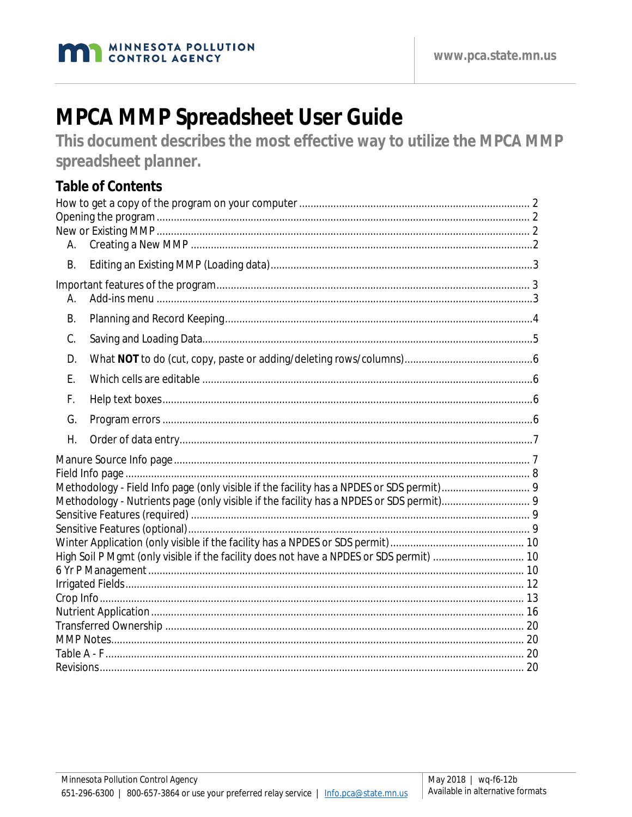

# **MPCA MMP Spreadsheet User Guide**

This document describes the most effective way to utilize the MPCA MMP spreadsheet planner.

# **Table of Contents**

| А.        |                                                                                         |  |
|-----------|-----------------------------------------------------------------------------------------|--|
| <b>B.</b> |                                                                                         |  |
| Α.        |                                                                                         |  |
| <b>B.</b> |                                                                                         |  |
| C.        |                                                                                         |  |
| D.        |                                                                                         |  |
| Ε.        |                                                                                         |  |
| F.        |                                                                                         |  |
| G.        |                                                                                         |  |
| Η.        |                                                                                         |  |
|           |                                                                                         |  |
|           |                                                                                         |  |
|           |                                                                                         |  |
|           |                                                                                         |  |
|           |                                                                                         |  |
|           |                                                                                         |  |
|           | High Soil P Mgmt (only visible if the facility does not have a NPDES or SDS permit)  10 |  |
|           |                                                                                         |  |
|           |                                                                                         |  |
|           |                                                                                         |  |
|           |                                                                                         |  |
|           |                                                                                         |  |
|           |                                                                                         |  |
|           |                                                                                         |  |
|           |                                                                                         |  |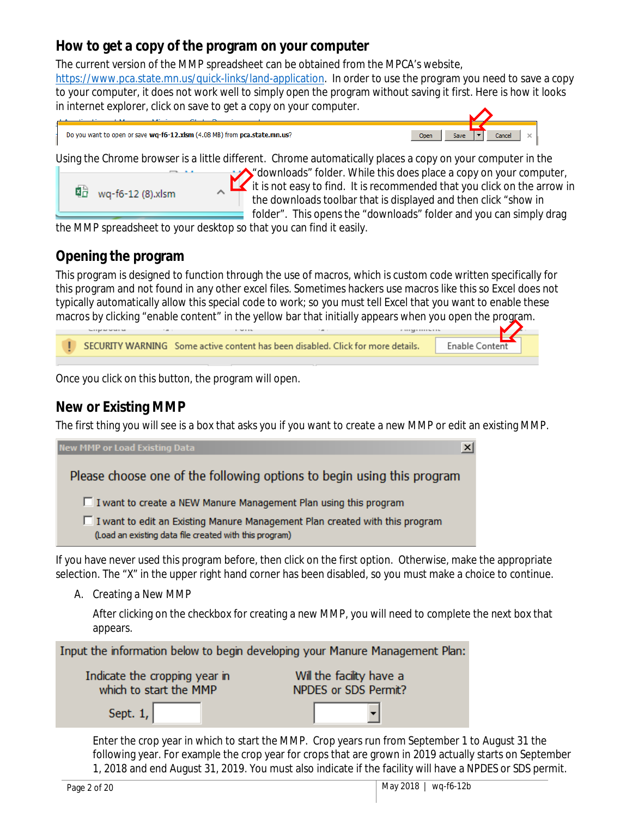## <span id="page-1-0"></span>**How to get a copy of the program on your computer**

The current version of the MMP spreadsheet can be obtained from the MPCA's website, [https://www.pca.state.mn.us/quick-links/land-application.](https://www.pca.state.mn.us/quick-links/land-application) In order to use the program you need to save a copy to your computer, it does not work well to simply open the program without saving it first. Here is how it looks in internet explorer, click on save to get a copy on your computer.

| Do you want to open or save wq-f6-12.xlsm (4.08 MB) from pca.state.mn.us? |  |
|---------------------------------------------------------------------------|--|
|---------------------------------------------------------------------------|--|



Using the Chrome browser is a little different. Chrome automatically places a copy on your computer in the



 $\bigwedge$  downloads" folder. While this does place a copy on your computer,  $\mathbb{I}$  it is not easy to find. It is recommended that you click on the arrow in the downloads toolbar that is displayed and then click "show in folder". This opens the "downloads" folder and you can simply drag

the MMP spreadsheet to your desktop so that you can find it easily.

## <span id="page-1-1"></span>**Opening the program**

This program is designed to function through the use of macros, which is custom code written specifically for this program and not found in any other excel files. Sometimes hackers use macros like this so Excel does not typically automatically allow this special code to work; so you must tell Excel that you want to enable these macros by clicking "enable content" in the yellow bar that initially appears when you open the program.



Once you click on this button, the program will open.

## <span id="page-1-2"></span>**New or Existing MMP**

The first thing you will see is a box that asks you if you want to create a new MMP or edit an existing MMP.

| <b>New MMP or Load Existing Data</b>                                                                                                    |  |
|-----------------------------------------------------------------------------------------------------------------------------------------|--|
| Please choose one of the following options to begin using this program                                                                  |  |
| □ I want to create a NEW Manure Management Plan using this program                                                                      |  |
| □ I want to edit an Existing Manure Management Plan created with this program<br>(Load an existing data file created with this program) |  |

If you have never used this program before, then click on the first option. Otherwise, make the appropriate selection. The "X" in the upper right hand corner has been disabled, so you must make a choice to continue.

<span id="page-1-3"></span>A. Creating a New MMP

After clicking on the checkbox for creating a new MMP, you will need to complete the next box that appears.

Input the information below to begin developing your Manure Management Plan:

| Indicate the cropping year in | Will the facility have a |  |  |
|-------------------------------|--------------------------|--|--|
| which to start the MMP        | NPDES or SDS Permit?     |  |  |
| Sept. $1,$                    |                          |  |  |

Enter the crop year in which to start the MMP. Crop years run from September 1 to August 31 the following year. For example the crop year for crops that are grown in 2019 actually starts on September 1, 2018 and end August 31, 2019. You must also indicate if the facility will have a NPDES or SDS permit.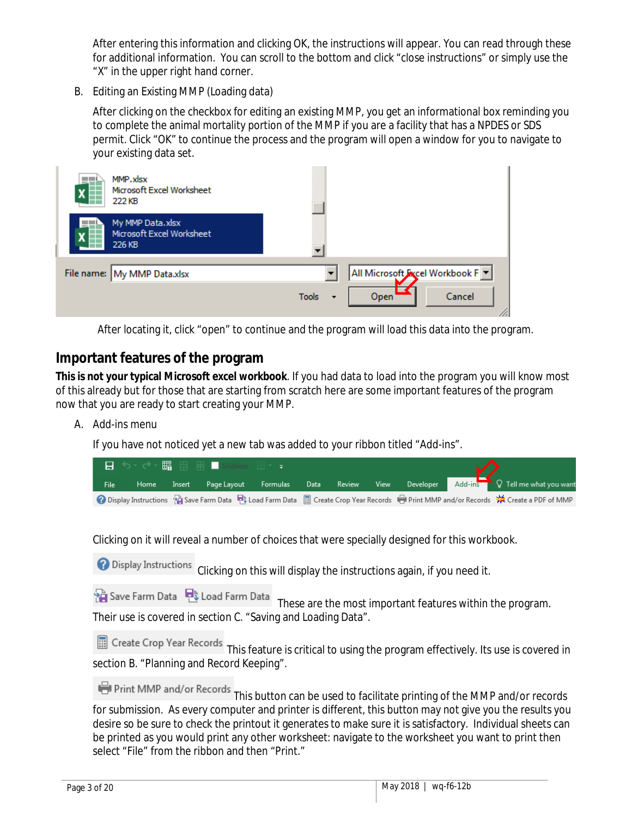After entering this information and clicking OK, the instructions will appear. You can read through these for additional information. You can scroll to the bottom and click "close instructions" or simply use the "X" in the upper right hand corner.

<span id="page-2-0"></span>B. Editing an Existing MMP (Loading data)

After clicking on the checkbox for editing an existing MMP, you get an informational box reminding you to complete the animal mortality portion of the MMP if you are a facility that has a NPDES or SDS permit. Click "OK" to continue the process and the program will open a window for you to navigate to your existing data set.

| X | MMP.xlsx<br>Microsoft Excel Worksheet<br>222 KB         |                                          |                               |
|---|---------------------------------------------------------|------------------------------------------|-------------------------------|
|   | My MMP Data.xlsx<br>Microsoft Excel Worksheet<br>226 KB |                                          |                               |
|   | File name: My MMP Data.xlsx                             |                                          | All Microsoft Acel Workbook F |
|   |                                                         | <b>Tools</b><br>$\overline{\phantom{a}}$ | Cancel<br>Open                |

After locating it, click "open" to continue and the program will load this data into the program.

## <span id="page-2-1"></span>**Important features of the program**

**This is not your typical Microsoft excel workbook**. If you had data to load into the program you will know most of this already but for those that are starting from scratch here are some important features of the program now that you are ready to start creating your MMP.

<span id="page-2-2"></span>A. Add-ins menu

If you have not noticed yet a new tab was added to your ribbon titled "Add-ins".

|      |      |        | ■ ち‐ ∂‐ 騳 用 囲 ■ Gridlines 日‐ = ▲ |  |  | V |                                                                                                                                      |
|------|------|--------|----------------------------------|--|--|---|--------------------------------------------------------------------------------------------------------------------------------------|
| File | Home | Insert |                                  |  |  |   | Page Layout Formulas Data Review View Developer Add-ins Q Tell me what you want                                                      |
|      |      |        |                                  |  |  |   | 2 Display Instructions 9 Save Farm Data → Load Farm Data ■ Create Crop Year Records → Print MMP and/or Records ※ Create a PDF of MMP |

Clicking on it will reveal a number of choices that were specially designed for this workbook.

**O** Display Instructions Clicking on this will display the instructions again, if you need it.

|                                                               | Save Farm Data 2 Load Farm Data These are the most important features within the program |
|---------------------------------------------------------------|------------------------------------------------------------------------------------------|
| Their use is covered in section C. "Saving and Loading Data". |                                                                                          |

This feature is critical to using the program effectively. Its use is covered in section B. "Planning and Record Keeping".

| Print MMP and/or Records |  |  |
|--------------------------|--|--|
|                          |  |  |

**Contract Contract** 

| This button can be used to facilitate printing of the MMP and/or records                                    |
|-------------------------------------------------------------------------------------------------------------|
| for submission. As every computer and printer is different, this button may not give you the results you    |
| desire so be sure to check the printout it generates to make sure it is satisfactory. Individual sheets can |
| be printed as you would print any other worksheet: navigate to the worksheet you want to print then         |
| select "File" from the ribbon and then "Print."                                                             |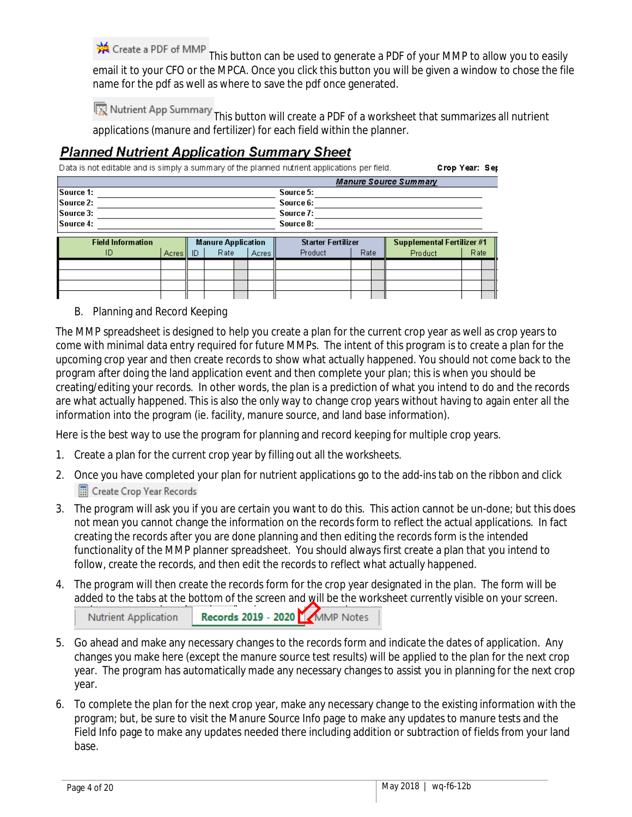※ Create a PDF of MMP

This button can be used to generate a PDF of your MMP to allow you to easily email it to your CFO or the MPCA. Once you click this button you will be given a window to chose the file name for the pdf as well as where to save the pdf once generated.

Nutrient App Summary This button will create a PDF of a worksheet that summarizes all nutrient applications (manure and fertilizer) for each field within the planner.

#### **Planned Nutrient Application Summary Sheet**

Data is not editable and is simply a summary of the planned nutrient applications per field. Crop Year: Sep

| <b>Manure Source Summary</b> |                          |       |    |      |                           |           |                           |  |      |                            |      |  |
|------------------------------|--------------------------|-------|----|------|---------------------------|-----------|---------------------------|--|------|----------------------------|------|--|
| <b>Source 1:</b>             |                          |       |    |      |                           |           | Source 5:                 |  |      |                            |      |  |
| Source 2:                    |                          |       |    |      |                           |           | Source 6:                 |  |      |                            |      |  |
| Source 3:                    |                          |       |    |      |                           | Source 7: |                           |  |      |                            |      |  |
| Source 4:                    |                          |       |    |      |                           | Source 8: |                           |  |      |                            |      |  |
|                              | <b>Field Information</b> |       |    |      | <b>Manure Application</b> |           | <b>Starter Fertilizer</b> |  |      | Supplemental Fertilizer #1 |      |  |
|                              | ID                       | Acres | ID | Rate | Acres                     |           | Product                   |  | Rate | Product                    | Rate |  |
|                              |                          |       |    |      |                           |           |                           |  |      |                            |      |  |
|                              |                          |       |    |      |                           |           |                           |  |      |                            |      |  |
|                              |                          |       |    |      |                           |           |                           |  |      |                            |      |  |
|                              |                          |       |    |      |                           |           |                           |  |      |                            |      |  |

<span id="page-3-0"></span>B. Planning and Record Keeping

The MMP spreadsheet is designed to help you create a plan for the current crop year as well as crop years to come with minimal data entry required for future MMPs. The intent of this program is to create a plan for the upcoming crop year and then create records to show what actually happened. You should not come back to the program after doing the land application event and then complete your plan; this is when you should be creating/editing your records. In other words, the plan is a prediction of what you intend to do and the records are what actually happened. This is also the only way to change crop years without having to again enter all the information into the program (ie. facility, manure source, and land base information).

Here is the best way to use the program for planning and record keeping for multiple crop years.

- 1. Create a plan for the current crop year by filling out all the worksheets.
- 2. Once you have completed your plan for nutrient applications go to the add-ins tab on the ribbon and click Create Crop Year Records
- 3. The program will ask you if you are certain you want to do this. This action cannot be un-done; but this does not mean you cannot change the information on the records form to reflect the actual applications. In fact creating the records after you are done planning and then editing the records form is the intended functionality of the MMP planner spreadsheet. You should always first create a plan that you intend to follow, create the records, and then edit the records to reflect what actually happened.
- 4. The program will then create the records form for the crop year designated in the plan. The form will be added to the tabs at the bottom of the screen and will be the worksheet currently visible on your screen.

| Nutrient Application | $\mathbf{r}$<br>Records 2019 - 2020 MMP Notes |
|----------------------|-----------------------------------------------|
|----------------------|-----------------------------------------------|

- 5. Go ahead and make any necessary changes to the records form and indicate the dates of application. Any changes you make here (except the manure source test results) will be applied to the plan for the next crop year. The program has automatically made any necessary changes to assist you in planning for the next crop year.
- 6. To complete the plan for the next crop year, make any necessary change to the existing information with the program; but, be sure to visit the Manure Source Info page to make any updates to manure tests and the Field Info page to make any updates needed there including addition or subtraction of fields from your land base.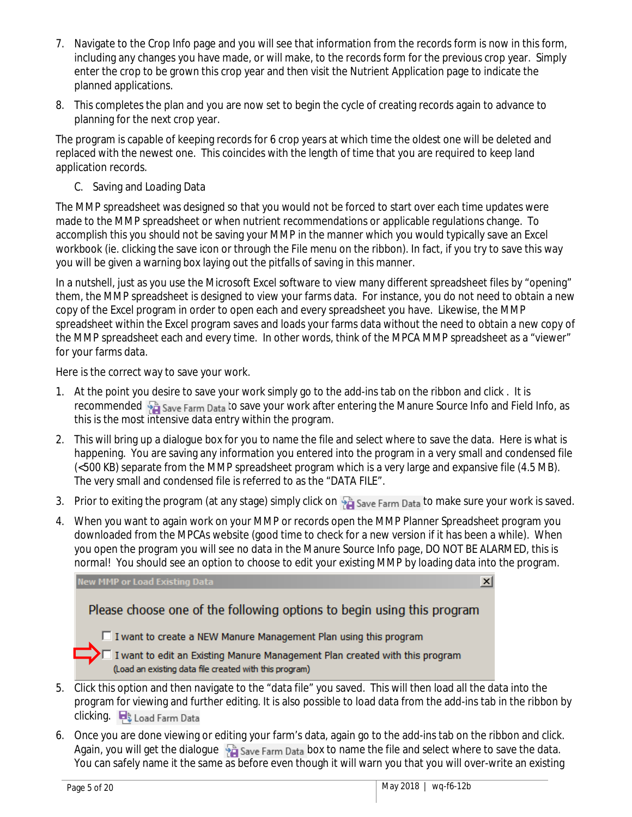- 7. Navigate to the Crop Info page and you will see that information from the records form is now in this form, including any changes you have made, or will make, to the records form for the previous crop year. Simply enter the crop to be grown this crop year and then visit the Nutrient Application page to indicate the planned applications.
- 8. This completes the plan and you are now set to begin the cycle of creating records again to advance to planning for the next crop year.

The program is capable of keeping records for 6 crop years at which time the oldest one will be deleted and replaced with the newest one. This coincides with the length of time that you are required to keep land application records.

<span id="page-4-0"></span>C. Saving and Loading Data

The MMP spreadsheet was designed so that you would not be forced to start over each time updates were made to the MMP spreadsheet or when nutrient recommendations or applicable regulations change. To accomplish this you should not be saving your MMP in the manner which you would typically save an Excel workbook (ie. clicking the save icon or through the File menu on the ribbon). In fact, if you try to save this way you will be given a warning box laying out the pitfalls of saving in this manner.

In a nutshell, just as you use the Microsoft Excel software to view many different spreadsheet files by "opening" them, the MMP spreadsheet is designed to view your farms data. For instance, you do not need to obtain a new copy of the Excel program in order to open each and every spreadsheet you have. Likewise, the MMP spreadsheet within the Excel program saves and loads your farms data without the need to obtain a new copy of the MMP spreadsheet each and every time. In other words, think of the MPCA MMP spreadsheet as a "viewer" for your farms data.

Here is the correct way to save your work.

- 1. At the point you desire to save your work simply go to the add-ins tab on the ribbon and click . It is recommended  $\frac{1}{2}$  Save Farm Data to save your work after entering the Manure Source Info and Field Info, as this is the most intensive data entry within the program.
- 2. This will bring up a dialogue box for you to name the file and select where to save the data. Here is what is happening. You are saving any information you entered into the program in a very small and condensed file (<500 KB) separate from the MMP spreadsheet program which is a very large and expansive file (4.5 MB). The very small and condensed file is referred to as the "DATA FILE".
- 3. Prior to exiting the program (at any stage) simply click on  $\frac{1}{2}$  Save Farm Data to make sure your work is saved.
- 4. When you want to again work on your MMP or records open the MMP Planner Spreadsheet program you downloaded from the MPCAs website (good time to check for a new version if it has been a while). When you open the program you will see no data in the Manure Source Info page, DO NOT BE ALARMED, this is normal! You should see an option to choose to edit your existing MMP by loading data into the program.

**New MMP or Load Existing Data**  $\vert x \vert$ Please choose one of the following options to begin using this program  $\Box$  I want to create a NEW Manure Management Plan using this program  $\blacktriangleright\Box$  I want to edit an Existing Manure Management Plan created with this program (Load an existing data file created with this program)

- 5. Click this option and then navigate to the "data file" you saved. This will then load all the data into the program for viewing and further editing. It is also possible to load data from the add-ins tab in the ribbon by clicking. **D**& Load Farm Data
- 6. Once you are done viewing or editing your farm's data, again go to the add-ins tab on the ribbon and click. Again, you will get the dialogue  $\frac{1}{20}$  Save Farm Data box to name the file and select where to save the data. You can safely name it the same as before even though it will warn you that you will over-write an existing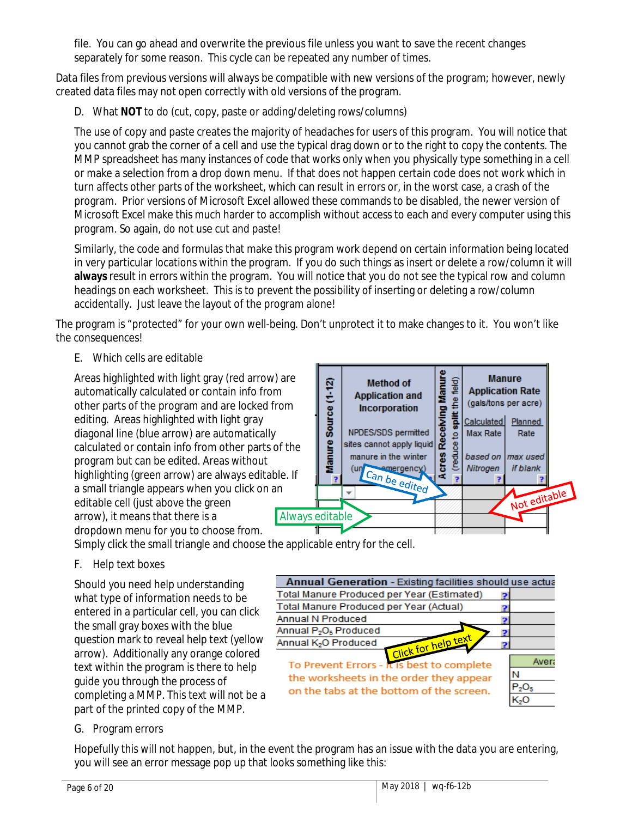file. You can go ahead and overwrite the previous file unless you want to save the recent changes separately for some reason. This cycle can be repeated any number of times.

Data files from previous versions will always be compatible with new versions of the program; however, newly created data files may not open correctly with old versions of the program.

<span id="page-5-0"></span>D. What **NOT** to do (cut, copy, paste or adding/deleting rows/columns)

The use of copy and paste creates the majority of headaches for users of this program. You will notice that you cannot grab the corner of a cell and use the typical drag down or to the right to copy the contents. The MMP spreadsheet has many instances of code that works only when you physically type something in a cell or make a selection from a drop down menu. If that does not happen certain code does not work which in turn affects other parts of the worksheet, which can result in errors or, in the worst case, a crash of the program. Prior versions of Microsoft Excel allowed these commands to be disabled, the newer version of Microsoft Excel make this much harder to accomplish without access to each and every computer using this program. So again, do not use cut and paste!

Similarly, the code and formulas that make this program work depend on certain information being located in very particular locations within the program. If you do such things as insert or delete a row/column it will **always** result in errors within the program. You will notice that you do not see the typical row and column headings on each worksheet. This is to prevent the possibility of inserting or deleting a row/column accidentally. Just leave the layout of the program alone!

The program is "protected" for your own well-being. Don't unprotect it to make changes to it. You won't like the consequences!

<span id="page-5-1"></span>E. Which cells are editable

Areas highlighted with light gray (red arrow) are automatically calculated or contain info from other parts of the program and are locked from editing. Areas highlighted with light gray diagonal line (blue arrow) are automatically calculated or contain info from other parts of the program but can be edited. Areas without highlighting (green arrow) are always editable. If a small triangle appears when you click on an editable cell (just above the green arrow), it means that there is a dropdown menu for you to choose from.



Simply click the small triangle and choose the applicable entry for the cell.

<span id="page-5-2"></span>F. Help text boxes

Should you need help understanding what type of information needs to be entered in a particular cell, you can click the small gray boxes with the blue question mark to reveal help text (yellow arrow). Additionally any orange colored text within the program is there to help guide you through the process of completing a MMP. This text will not be a part of the printed copy of the MMP.



#### <span id="page-5-3"></span>G. Program errors

Hopefully this will not happen, but, in the event the program has an issue with the data you are entering, you will see an error message pop up that looks something like this: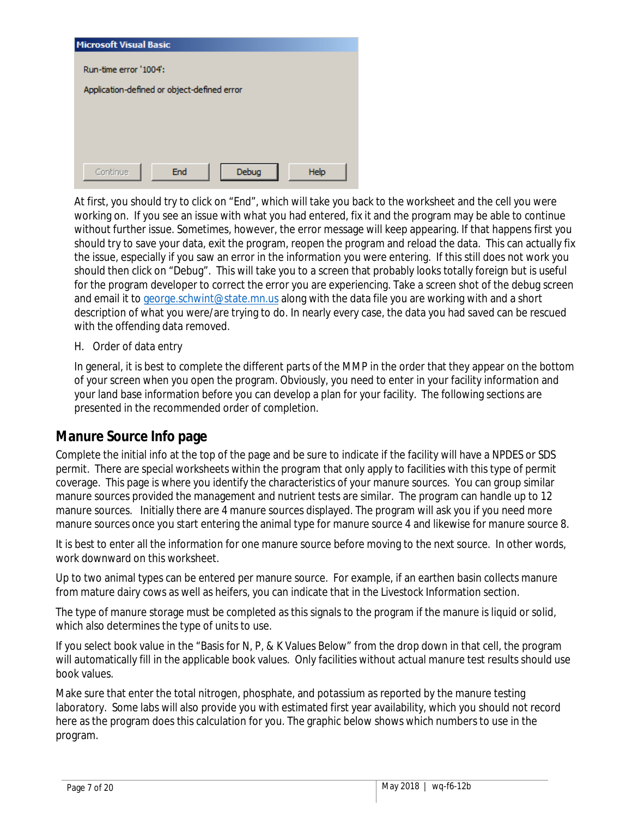| <b>Microsoft Visual Basic</b>               |
|---------------------------------------------|
| Run-time error '1004':                      |
|                                             |
| Application-defined or object-defined error |
|                                             |
|                                             |
|                                             |
|                                             |
| End<br>Debug<br>Help<br>Continue            |

At first, you should try to click on "End", which will take you back to the worksheet and the cell you were working on. If you see an issue with what you had entered, fix it and the program may be able to continue without further issue. Sometimes, however, the error message will keep appearing. If that happens first you should try to save your data, exit the program, reopen the program and reload the data. This can actually fix the issue, especially if you saw an error in the information you were entering. If this still does not work you should then click on "Debug". This will take you to a screen that probably looks totally foreign but is useful for the program developer to correct the error you are experiencing. Take a screen shot of the debug screen and email it to [george.schwint@state.mn.us](mailto:george.schwint@state.mn.us) along with the data file you are working with and a short description of what you were/are trying to do. In nearly every case, the data you had saved can be rescued with the offending data removed.

<span id="page-6-0"></span>H. Order of data entry

In general, it is best to complete the different parts of the MMP in the order that they appear on the bottom of your screen when you open the program. Obviously, you need to enter in your facility information and your land base information before you can develop a plan for your facility. The following sections are presented in the recommended order of completion.

## <span id="page-6-1"></span>**Manure Source Info page**

Complete the initial info at the top of the page and be sure to indicate if the facility will have a NPDES or SDS permit. There are special worksheets within the program that only apply to facilities with this type of permit coverage. This page is where you identify the characteristics of your manure sources. You can group similar manure sources provided the management and nutrient tests are similar. The program can handle up to 12 manure sources. Initially there are 4 manure sources displayed. The program will ask you if you need more manure sources once you start entering the animal type for manure source 4 and likewise for manure source 8.

It is best to enter all the information for one manure source before moving to the next source. In other words, work downward on this worksheet.

Up to two animal types can be entered per manure source. For example, if an earthen basin collects manure from mature dairy cows as well as heifers, you can indicate that in the Livestock Information section.

The type of manure storage must be completed as this signals to the program if the manure is liquid or solid, which also determines the type of units to use.

If you select book value in the "Basis for N, P, & K Values Below" from the drop down in that cell, the program will automatically fill in the applicable book values. Only facilities without actual manure test results should use book values.

Make sure that enter the total nitrogen, phosphate, and potassium as reported by the manure testing laboratory. Some labs will also provide you with estimated first year availability, which you should not record here as the program does this calculation for you. The graphic below shows which numbers to use in the program.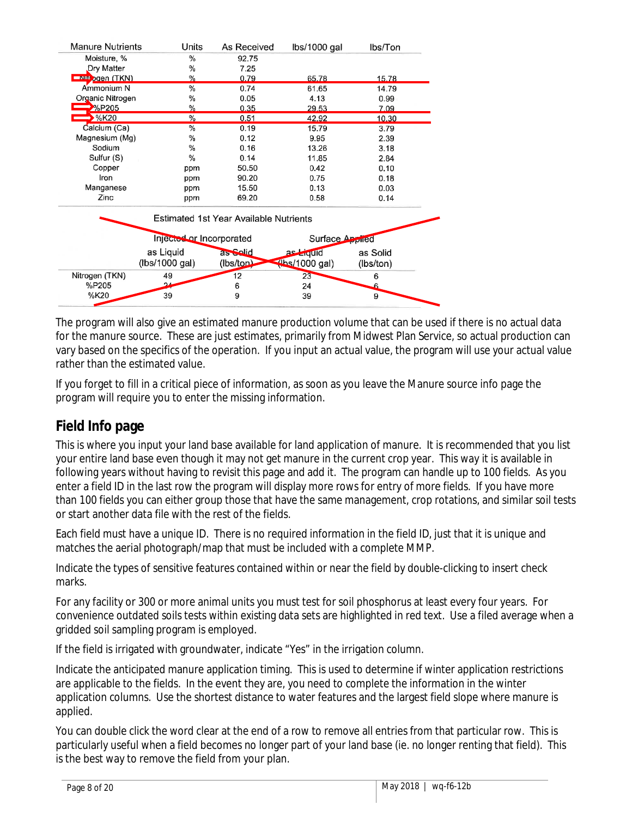| <b>Manure Nutrients</b> | Units                    | As Received                            | lbs/1000 gal                    | lbs/Ton   |
|-------------------------|--------------------------|----------------------------------------|---------------------------------|-----------|
| Moisture, %             | %                        | 92.75                                  |                                 |           |
| Dry Matter              | %                        | 7.25                                   |                                 |           |
| <b>ENIT DOED (TKN)</b>  | $\%$                     | 0.79                                   | 65.78                           | 15.78     |
| Ammonium N              | %                        | 0.74                                   | 61.65                           | 14.79     |
| Organic Nitrogen        | $\%$                     | 0.05                                   | 4.13                            | 0.99      |
| $\rightarrow$ %P205     | $\%$                     | 0.35                                   | 29.53                           | 7.09      |
| $\rightarrow$ %K20      | %                        | 0.51                                   | 42.92                           | 10.30     |
| Calcium (Ca)            | $\%$                     | 0.19                                   | 15.79                           | 3.79      |
| Magnesium (Mg)          | %                        | 0.12                                   | 9.95                            | 2.39      |
| Sodium                  | $\%$                     | 0.16                                   | 13.26                           | 3.18      |
| Sulfur (S)              | $\%$                     | 0.14                                   | 11.85                           | 2.84      |
| Copper                  | ppm                      | 50.50                                  | 0.42                            | 0.10      |
| Iron                    | ppm                      | 90.20                                  | 0.75                            | 0.18      |
| Manganese               | ppm                      | 15.50                                  | 0.13                            | 0.03      |
| Zinc                    | ppm                      | 69.20                                  | 0.58                            | 0.14      |
|                         |                          | Estimated 1st Year Available Nutrients |                                 |           |
|                         | Injected or Incorporated |                                        | Surface Applied                 |           |
|                         | as Liquid                | as Solid                               | as <i>Eiquid</i>                | as Solid  |
|                         | (lbs/1000 gal)           | (lbs/ton)                              | $\frac{1}{\sqrt{2}}$ (1000 gal) | (lbs/ton) |
| Nitrogen (TKN)          | 49                       | 12                                     | 23                              | 6         |
| %P205                   | 24                       | 6                                      | 24                              | £         |
| %K20                    | 39                       | 9                                      | 39                              | 9         |

The program will also give an estimated manure production volume that can be used if there is no actual data for the manure source. These are just estimates, primarily from Midwest Plan Service, so actual production can vary based on the specifics of the operation. If you input an actual value, the program will use your actual value rather than the estimated value.

If you forget to fill in a critical piece of information, as soon as you leave the Manure source info page the program will require you to enter the missing information.

# <span id="page-7-0"></span>**Field Info page**

This is where you input your land base available for land application of manure. It is recommended that you list your entire land base even though it may not get manure in the current crop year. This way it is available in following years without having to revisit this page and add it. The program can handle up to 100 fields. As you enter a field ID in the last row the program will display more rows for entry of more fields. If you have more than 100 fields you can either group those that have the same management, crop rotations, and similar soil tests or start another data file with the rest of the fields.

Each field must have a unique ID. There is no required information in the field ID, just that it is unique and matches the aerial photograph/map that must be included with a complete MMP.

Indicate the types of sensitive features contained within or near the field by double-clicking to insert check marks.

For any facility or 300 or more animal units you must test for soil phosphorus at least every four years. For convenience outdated soils tests within existing data sets are highlighted in red text. Use a filed average when a gridded soil sampling program is employed.

If the field is irrigated with groundwater, indicate "Yes" in the irrigation column.

Indicate the anticipated manure application timing. This is used to determine if winter application restrictions are applicable to the fields. In the event they are, you need to complete the information in the winter application columns. Use the shortest distance to water features and the largest field slope where manure is applied.

You can double click the word clear at the end of a row to remove all entries from that particular row. This is particularly useful when a field becomes no longer part of your land base (ie. no longer renting that field). This is the best way to remove the field from your plan.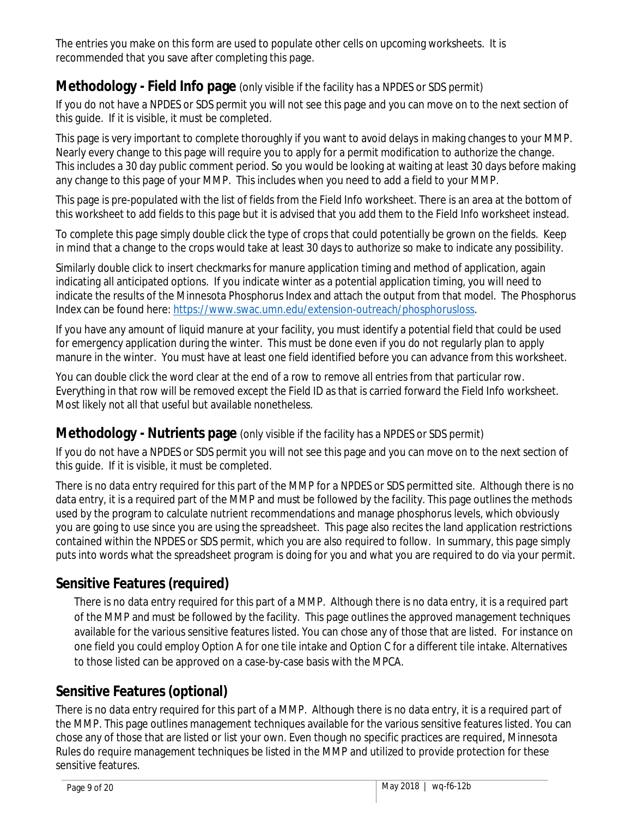The entries you make on this form are used to populate other cells on upcoming worksheets. It is recommended that you save after completing this page.

## <span id="page-8-0"></span>**Methodology - Field Info page** (only visible if the facility has a NPDES or SDS permit)

If you do not have a NPDES or SDS permit you will not see this page and you can move on to the next section of this guide. If it is visible, it must be completed.

This page is very important to complete thoroughly if you want to avoid delays in making changes to your MMP. Nearly every change to this page will require you to apply for a permit modification to authorize the change. This includes a 30 day public comment period. So you would be looking at waiting at least 30 days before making any change to this page of your MMP. This includes when you need to add a field to your MMP.

This page is pre-populated with the list of fields from the Field Info worksheet. There is an area at the bottom of this worksheet to add fields to this page but it is advised that you add them to the Field Info worksheet instead.

To complete this page simply double click the type of crops that could potentially be grown on the fields. Keep in mind that a change to the crops would take at least 30 days to authorize so make to indicate any possibility.

Similarly double click to insert checkmarks for manure application timing and method of application, again indicating all anticipated options. If you indicate winter as a potential application timing, you will need to indicate the results of the Minnesota Phosphorus Index and attach the output from that model. The Phosphorus Index can be found here: [https://www.swac.umn.edu/extension-outreach/phosphorusloss.](https://www.swac.umn.edu/extension-outreach/phosphorusloss)

If you have any amount of liquid manure at your facility, you must identify a potential field that could be used for emergency application during the winter. This must be done even if you do not regularly plan to apply manure in the winter. You must have at least one field identified before you can advance from this worksheet.

You can double click the word clear at the end of a row to remove all entries from that particular row. Everything in that row will be removed except the Field ID as that is carried forward the Field Info worksheet. Most likely not all that useful but available nonetheless.

## <span id="page-8-1"></span>**Methodology - Nutrients page** (only visible if the facility has a NPDES or SDS permit)

If you do not have a NPDES or SDS permit you will not see this page and you can move on to the next section of this guide. If it is visible, it must be completed.

There is no data entry required for this part of the MMP for a NPDES or SDS permitted site. Although there is no data entry, it is a required part of the MMP and must be followed by the facility. This page outlines the methods used by the program to calculate nutrient recommendations and manage phosphorus levels, which obviously you are going to use since you are using the spreadsheet. This page also recites the land application restrictions contained within the NPDES or SDS permit, which you are also required to follow. In summary, this page simply puts into words what the spreadsheet program is doing for you and what you are required to do via your permit.

# <span id="page-8-2"></span>**Sensitive Features (required)**

There is no data entry required for this part of a MMP. Although there is no data entry, it is a required part of the MMP and must be followed by the facility. This page outlines the approved management techniques available for the various sensitive features listed. You can chose any of those that are listed. For instance on one field you could employ Option A for one tile intake and Option C for a different tile intake. Alternatives to those listed can be approved on a case-by-case basis with the MPCA.

## <span id="page-8-3"></span>**Sensitive Features (optional)**

There is no data entry required for this part of a MMP. Although there is no data entry, it is a required part of the MMP. This page outlines management techniques available for the various sensitive features listed. You can chose any of those that are listed or list your own. Even though no specific practices are required, Minnesota Rules do require management techniques be listed in the MMP and utilized to provide protection for these sensitive features.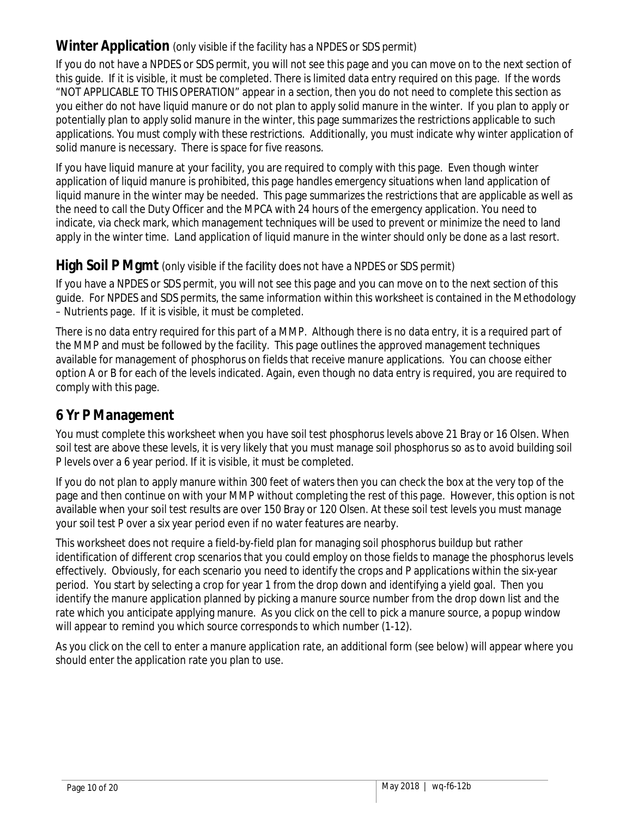## <span id="page-9-0"></span>**Winter Application** (only visible if the facility has a NPDES or SDS permit)

If you do not have a NPDES or SDS permit, you will not see this page and you can move on to the next section of this guide. If it is visible, it must be completed. There is limited data entry required on this page. If the words "NOT APPLICABLE TO THIS OPERATION" appear in a section, then you do not need to complete this section as you either do not have liquid manure or do not plan to apply solid manure in the winter. If you plan to apply or potentially plan to apply solid manure in the winter, this page summarizes the restrictions applicable to such applications. You must comply with these restrictions. Additionally, you must indicate why winter application of solid manure is necessary. There is space for five reasons.

If you have liquid manure at your facility, you are required to comply with this page. Even though winter application of liquid manure is prohibited, this page handles emergency situations when land application of liquid manure in the winter may be needed. This page summarizes the restrictions that are applicable as well as the need to call the Duty Officer and the MPCA with 24 hours of the emergency application. You need to indicate, via check mark, which management techniques will be used to prevent or minimize the need to land apply in the winter time. Land application of liquid manure in the winter should only be done as a last resort.

#### <span id="page-9-1"></span>**High Soil P Mgmt** (only visible if the facility does not have a NPDES or SDS permit)

If you have a NPDES or SDS permit, you will not see this page and you can move on to the next section of this guide. For NPDES and SDS permits, the same information within this worksheet is contained in the Methodology – Nutrients page. If it is visible, it must be completed.

There is no data entry required for this part of a MMP. Although there is no data entry, it is a required part of the MMP and must be followed by the facility. This page outlines the approved management techniques available for management of phosphorus on fields that receive manure applications. You can choose either option A or B for each of the levels indicated. Again, even though no data entry is required, you are required to comply with this page.

## <span id="page-9-2"></span>**6 Yr P Management**

You must complete this worksheet when you have soil test phosphorus levels above 21 Bray or 16 Olsen. When soil test are above these levels, it is very likely that you must manage soil phosphorus so as to avoid building soil P levels over a 6 year period. If it is visible, it must be completed.

If you do not plan to apply manure within 300 feet of waters then you can check the box at the very top of the page and then continue on with your MMP without completing the rest of this page. However, this option is not available when your soil test results are over 150 Bray or 120 Olsen. At these soil test levels you must manage your soil test P over a six year period even if no water features are nearby.

This worksheet does not require a field-by-field plan for managing soil phosphorus buildup but rather identification of different crop scenarios that you could employ on those fields to manage the phosphorus levels effectively. Obviously, for each scenario you need to identify the crops and P applications within the six-year period. You start by selecting a crop for year 1 from the drop down and identifying a yield goal. Then you identify the manure application planned by picking a manure source number from the drop down list and the rate which you anticipate applying manure. As you click on the cell to pick a manure source, a popup window will appear to remind you which source corresponds to which number (1-12).

As you click on the cell to enter a manure application rate, an additional form (see below) will appear where you should enter the application rate you plan to use.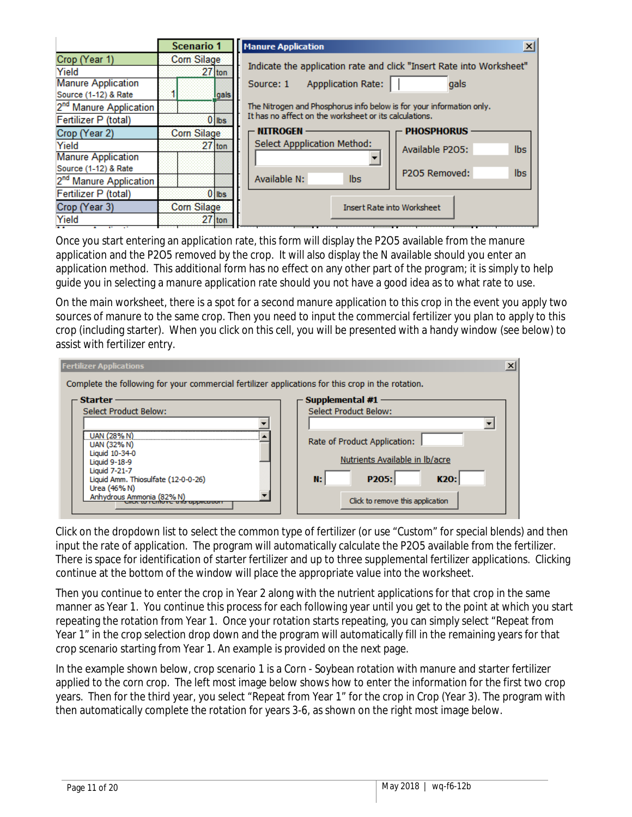|                                                | <b>Scenario 1</b>  | $\vert x \vert$<br><b>Manure Application</b>                         |  |  |  |  |  |  |  |
|------------------------------------------------|--------------------|----------------------------------------------------------------------|--|--|--|--|--|--|--|
| Crop (Year 1)                                  | Corn Silage        |                                                                      |  |  |  |  |  |  |  |
| Yield                                          | $27$ ton           | Indicate the application rate and click "Insert Rate into Worksheet" |  |  |  |  |  |  |  |
| <b>Manure Application</b>                      |                    | <b>Appplication Rate:</b><br>gals<br>Source: 1                       |  |  |  |  |  |  |  |
| Source (1-12) & Rate                           | Igals              |                                                                      |  |  |  |  |  |  |  |
| 2 <sup>nd</sup> Manure Application             |                    | The Nitrogen and Phosphorus info below is for your information only. |  |  |  |  |  |  |  |
| Fertilizer P (total)                           | $0$ lbs            | It has no affect on the worksheet or its calculations.               |  |  |  |  |  |  |  |
| Crop (Year 2)                                  | <b>Corn Silage</b> | <b>NITROGEN</b><br><b>PHOSPHORUS</b>                                 |  |  |  |  |  |  |  |
| Yield                                          | $27$ ton           | <b>Select Appplication Method:</b><br><b>lbs</b><br>Available P2O5:  |  |  |  |  |  |  |  |
| <b>Manure Application</b>                      |                    |                                                                      |  |  |  |  |  |  |  |
| Source (1-12) & Rate                           |                    | <b>lbs</b><br>P2O5 Removed:                                          |  |  |  |  |  |  |  |
| 2 <sup>nd</sup> Manure Application             |                    | Available N:<br>lbs.                                                 |  |  |  |  |  |  |  |
| Fertilizer P (total)                           | $0$ lbs            |                                                                      |  |  |  |  |  |  |  |
| Crop (Year 3)                                  | <b>Corn Silage</b> | <b>Insert Rate into Worksheet</b>                                    |  |  |  |  |  |  |  |
| Yield<br>$\overline{a}$<br><b>The Contract</b> | $27$ ton           |                                                                      |  |  |  |  |  |  |  |

Once you start entering an application rate, this form will display the P2O5 available from the manure application and the P2O5 removed by the crop. It will also display the N available should you enter an application method. This additional form has no effect on any other part of the program; it is simply to help guide you in selecting a manure application rate should you not have a good idea as to what rate to use.

On the main worksheet, there is a spot for a second manure application to this crop in the event you apply two sources of manure to the same crop. Then you need to input the commercial fertilizer you plan to apply to this crop (including starter). When you click on this cell, you will be presented with a handy window (see below) to assist with fertilizer entry.

| <b>Fertilizer Applications</b>                                                                                                      | $\vert x \vert$                                                                                    |
|-------------------------------------------------------------------------------------------------------------------------------------|----------------------------------------------------------------------------------------------------|
| Complete the following for your commercial fertilizer applications for this crop in the rotation.                                   |                                                                                                    |
| <b>Starter</b><br>Select Product Below:                                                                                             | Supplemental #1<br><b>Select Product Below:</b>                                                    |
| <b>UAN (28% N)</b><br>UAN (32% N)<br>Liquid 10-34-0<br>Liquid 9-18-9<br><b>Liquid 7-21-7</b><br>Liquid Amm. Thiosulfate (12-0-0-26) | Rate of Product Application:<br>Nutrients Available in Ib/acre<br>P <sub>205</sub> :<br>K20:<br>N: |
| Urea (46% N)<br>Anhydrous Ammonia (82% N)<br>to renfove ans application                                                             | Click to remove this application                                                                   |

Click on the dropdown list to select the common type of fertilizer (or use "Custom" for special blends) and then input the rate of application. The program will automatically calculate the P2O5 available from the fertilizer. There is space for identification of starter fertilizer and up to three supplemental fertilizer applications. Clicking continue at the bottom of the window will place the appropriate value into the worksheet.

Then you continue to enter the crop in Year 2 along with the nutrient applications for that crop in the same manner as Year 1. You continue this process for each following year until you get to the point at which you start repeating the rotation from Year 1. Once your rotation starts repeating, you can simply select "Repeat from Year 1" in the crop selection drop down and the program will automatically fill in the remaining years for that crop scenario starting from Year 1. An example is provided on the next page.

In the example shown below, crop scenario 1 is a Corn - Soybean rotation with manure and starter fertilizer applied to the corn crop. The left most image below shows how to enter the information for the first two crop years. Then for the third year, you select "Repeat from Year 1" for the crop in Crop (Year 3). The program with then automatically complete the rotation for years 3-6, as shown on the right most image below.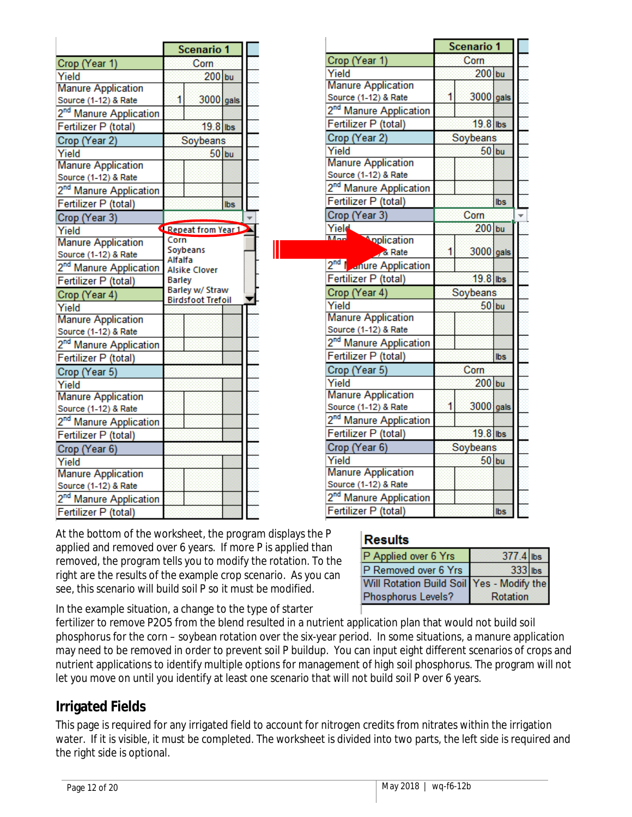|                                    |                     | <b>Scenario 1</b>                           |     |
|------------------------------------|---------------------|---------------------------------------------|-----|
| Crop (Year 1)                      |                     | Corn                                        |     |
| Yield                              |                     | $200$ bu                                    |     |
| <b>Manure Application</b>          |                     |                                             |     |
| Source (1-12) & Rate               |                     | 3000 gals                                   |     |
| 2 <sup>nd</sup> Manure Application |                     |                                             |     |
| Fertilizer P (total)               |                     | 19.8 lbs                                    |     |
| Crop (Year 2)                      |                     | Soybeans                                    |     |
| Yield                              |                     | $50$ bu                                     |     |
| <b>Manure Application</b>          |                     |                                             |     |
| Source (1-12) & Rate               |                     |                                             |     |
| 2 <sup>nd</sup> Manure Application |                     |                                             |     |
| Fertilizer P (total)               |                     |                                             | Ibs |
| Crop (Year 3)                      |                     |                                             |     |
| Yield                              |                     | Repeat from Year 1                          |     |
| <b>Manure Application</b>          | Corn                |                                             |     |
| Source (1-12) & Rate               | Soybeans<br>Alfalfa |                                             |     |
| 2 <sup>nd</sup> Manure Application |                     | <b>Alsike Clover</b>                        |     |
| Fertilizer P (total)               | Barley              |                                             |     |
| Crop (Year 4)                      |                     | Barley w/ Straw<br><b>Birdsfoot Trefoil</b> |     |
| Yield                              |                     |                                             |     |
| <b>Manure Application</b>          |                     |                                             |     |
| Source (1-12) & Rate               |                     |                                             |     |
| 2 <sup>nd</sup> Manure Application |                     |                                             |     |
| Fertilizer P (total)               |                     |                                             |     |
| Crop (Year 5)                      |                     |                                             |     |
| Yield                              |                     |                                             |     |
| <b>Manure Application</b>          |                     |                                             |     |
| Source (1-12) & Rate               |                     |                                             |     |
| 2 <sup>nd</sup> Manure Application |                     |                                             |     |
| Fertilizer P (total)               |                     |                                             |     |
| Crop (Year 6)                      |                     |                                             |     |
| Yield                              |                     |                                             |     |
| <b>Manure Application</b>          |                     |                                             |     |
| Source (1-12) & Rate               |                     |                                             |     |
| 2 <sup>nd</sup> Manure Application |                     |                                             |     |
| Fertilizer P (total)               |                     |                                             |     |

|                                                   | <b>Scenario 1</b>                                                     |           |            |  |
|---------------------------------------------------|-----------------------------------------------------------------------|-----------|------------|--|
| Crop (Year 1)                                     | Corn<br>$200$ bu<br>1<br>3000 gals<br>19.8 lbs<br>Soybeans<br>$50$ bu |           |            |  |
| Yield                                             |                                                                       |           |            |  |
| <b>Manure Application</b>                         |                                                                       |           |            |  |
| Source (1-12) & Rate                              |                                                                       |           |            |  |
| 2 <sup>nd</sup> Manure Application                |                                                                       |           |            |  |
| Fertilizer P (total)                              |                                                                       |           |            |  |
| Crop (Year 2)                                     |                                                                       |           |            |  |
| Yield                                             |                                                                       |           |            |  |
| <b>Manure Application</b>                         |                                                                       |           |            |  |
| Source (1-12) & Rate                              |                                                                       |           |            |  |
| 2 <sup>nd</sup> Manure Application                |                                                                       |           |            |  |
| Fertilizer P (total)                              |                                                                       |           | <b>lbs</b> |  |
| Crop (Year 3)                                     |                                                                       | Corn      | $200$ bu   |  |
| Yield                                             |                                                                       |           |            |  |
| $M_{\rm{max}}$<br><b>Application</b>              |                                                                       |           |            |  |
| & Rate                                            | 1                                                                     | 3000 gals |            |  |
| 2 <sup>nd</sup> I <sub>ndi</sub> nure Application |                                                                       |           |            |  |
| Fertilizer P (total)                              |                                                                       | 19.8 lbs  |            |  |
| Crop (Year 4)                                     |                                                                       | Soybeans  |            |  |
| Yield                                             |                                                                       | $50$ bu   |            |  |
| <b>Manure Application</b>                         |                                                                       |           |            |  |
| Source (1-12) & Rate                              |                                                                       |           |            |  |
| 2 <sup>nd</sup> Manure Application                |                                                                       |           |            |  |
| Fertilizer P (total)                              |                                                                       |           | lbs        |  |
| Crop (Year 5)                                     |                                                                       | Corn      |            |  |
| Yield                                             |                                                                       | $200$ bu  |            |  |
| <b>Manure Application</b>                         |                                                                       |           |            |  |
| Source (1-12) & Rate                              | 1                                                                     | 3000 gals |            |  |
| 2 <sup>nd</sup> Manure Application                |                                                                       |           |            |  |
| Fertilizer P (total)                              |                                                                       | 19.8 lbs  |            |  |
| Crop (Year 6)                                     |                                                                       | Soybeans  |            |  |
| Yield                                             |                                                                       | $50$ bu   |            |  |
| <b>Manure Application</b>                         |                                                                       |           |            |  |
| Source (1-12) & Rate                              |                                                                       |           |            |  |
| 2 <sup>nd</sup> Manure Application                |                                                                       |           |            |  |
| Fertilizer P (total)                              |                                                                       |           | <b>lbs</b> |  |

At the bottom of the worksheet, the program displays the P applied and removed over 6 years. If more P is applied than removed, the program tells you to modify the rotation. To the right are the results of the example crop scenario. As you can see, this scenario will build soil P so it must be modified.

## Results

| P Applied over 6 Yrs                      | 377.4 lbs |  |
|-------------------------------------------|-----------|--|
| P Removed over 6 Yrs                      | 333 lbs   |  |
| Will Rotation Build Soil Yes - Modify the |           |  |
| Phosphorus Levels?                        | Rotation  |  |

In the example situation, a change to the type of starter

fertilizer to remove P2O5 from the blend resulted in a nutrient application plan that would not build soil phosphorus for the corn – soybean rotation over the six-year period. In some situations, a manure application may need to be removed in order to prevent soil P buildup. You can input eight different scenarios of crops and nutrient applications to identify multiple options for management of high soil phosphorus. The program will not let you move on until you identify at least one scenario that will not build soil P over 6 years.

## <span id="page-11-0"></span>**Irrigated Fields**

This page is required for any irrigated field to account for nitrogen credits from nitrates within the irrigation water. If it is visible, it must be completed. The worksheet is divided into two parts, the left side is required and the right side is optional.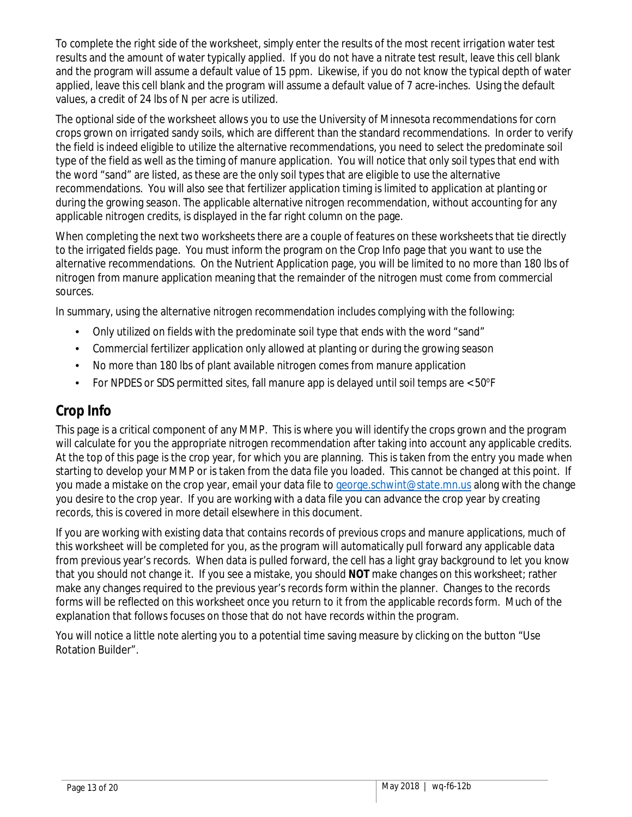To complete the right side of the worksheet, simply enter the results of the most recent irrigation water test results and the amount of water typically applied. If you do not have a nitrate test result, leave this cell blank and the program will assume a default value of 15 ppm. Likewise, if you do not know the typical depth of water applied, leave this cell blank and the program will assume a default value of 7 acre-inches. Using the default values, a credit of 24 lbs of N per acre is utilized.

The optional side of the worksheet allows you to use the University of Minnesota recommendations for corn crops grown on irrigated sandy soils, which are different than the standard recommendations. In order to verify the field is indeed eligible to utilize the alternative recommendations, you need to select the predominate soil type of the field as well as the timing of manure application. You will notice that only soil types that end with the word "sand" are listed, as these are the only soil types that are eligible to use the alternative recommendations. You will also see that fertilizer application timing is limited to application at planting or during the growing season. The applicable alternative nitrogen recommendation, without accounting for any applicable nitrogen credits, is displayed in the far right column on the page.

When completing the next two worksheets there are a couple of features on these worksheets that tie directly to the irrigated fields page. You must inform the program on the Crop Info page that you want to use the alternative recommendations. On the Nutrient Application page, you will be limited to no more than 180 lbs of nitrogen from manure application meaning that the remainder of the nitrogen must come from commercial sources.

In summary, using the alternative nitrogen recommendation includes complying with the following:

- Only utilized on fields with the predominate soil type that ends with the word "sand"
- Commercial fertilizer application only allowed at planting or during the growing season
- No more than 180 lbs of plant available nitrogen comes from manure application
- For NPDES or SDS permitted sites, fall manure app is delayed until soil temps are  $<$  50°F

## <span id="page-12-0"></span>**Crop Info**

This page is a critical component of any MMP. This is where you will identify the crops grown and the program will calculate for you the appropriate nitrogen recommendation after taking into account any applicable credits. At the top of this page is the crop year, for which you are planning. This is taken from the entry you made when starting to develop your MMP or is taken from the data file you loaded. This cannot be changed at this point. If you made a mistake on the crop year, email your data file t[o george.schwint@state.mn.us](mailto:george.schwint@state.mn.us) along with the change you desire to the crop year. If you are working with a data file you can advance the crop year by creating records, this is covered in more detail elsewhere in this document.

If you are working with existing data that contains records of previous crops and manure applications, much of this worksheet will be completed for you, as the program will automatically pull forward any applicable data from previous year's records. When data is pulled forward, the cell has a light gray background to let you know that you should not change it. If you see a mistake, you should **NOT** make changes on this worksheet; rather make any changes required to the previous year's records form within the planner. Changes to the records forms will be reflected on this worksheet once you return to it from the applicable records form. Much of the explanation that follows focuses on those that do not have records within the program.

You will notice a little note alerting you to a potential time saving measure by clicking on the button "Use Rotation Builder".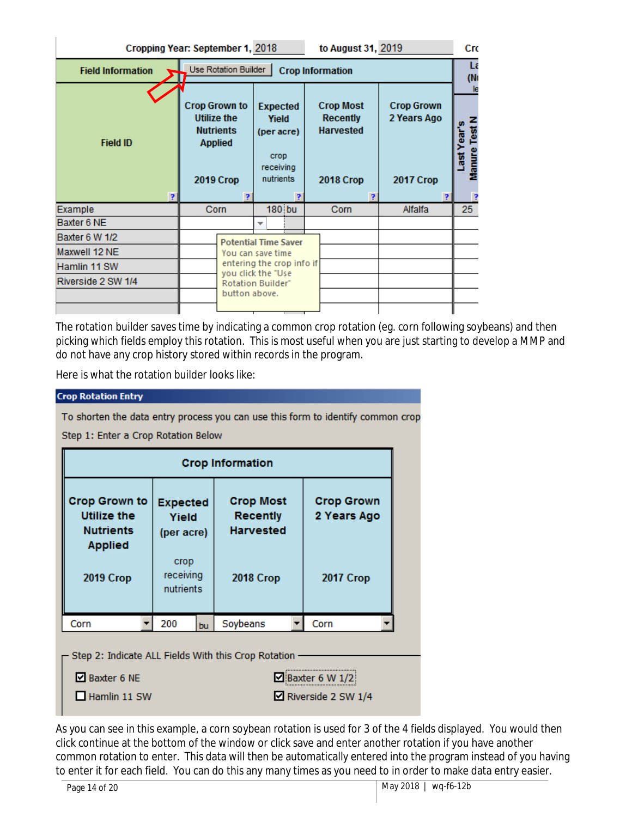| to August 31, 2019<br>Cropping Year: September 1, 2018 |                                                                                                      |                                                                          |                                                                             |                                               |                                                        |  |  |  |  |
|--------------------------------------------------------|------------------------------------------------------------------------------------------------------|--------------------------------------------------------------------------|-----------------------------------------------------------------------------|-----------------------------------------------|--------------------------------------------------------|--|--|--|--|
| <b>Field Information</b>                               |                                                                                                      | Use Rotation Builder<br><b>Crop Information</b>                          |                                                                             |                                               |                                                        |  |  |  |  |
| <b>Field ID</b>                                        | <b>Crop Grown to</b><br><b>Utilize the</b><br><b>Nutrients</b><br><b>Applied</b><br><b>2019 Crop</b> | <b>Expected</b><br>Yield<br>(per acre)<br>crop<br>receiving<br>nutrients | <b>Crop Most</b><br><b>Recently</b><br><b>Harvested</b><br><b>2018 Crop</b> | <b>Crop Grown</b><br>2 Years Ago<br>2017 Crop | (N <sub>1</sub> )<br>Test<br>ē<br><b>danure</b><br>is. |  |  |  |  |
|                                                        |                                                                                                      | Þ                                                                        |                                                                             |                                               |                                                        |  |  |  |  |
| Example                                                | Corn                                                                                                 | $180$ bu                                                                 | Corn                                                                        | Alfalfa                                       | 25                                                     |  |  |  |  |
| Baxter 6 NE                                            |                                                                                                      | ▼                                                                        |                                                                             |                                               |                                                        |  |  |  |  |
| Baxter 6 W 1/2                                         |                                                                                                      | <b>Potential Time Saver</b>                                              |                                                                             |                                               |                                                        |  |  |  |  |
| Maxwell 12 NE                                          |                                                                                                      | You can save time                                                        |                                                                             |                                               |                                                        |  |  |  |  |
| Hamlin 11 SW                                           |                                                                                                      | entering the crop info if                                                |                                                                             |                                               |                                                        |  |  |  |  |
| Riverside 2 SW 1/4                                     | button above.                                                                                        | you click the "Use<br><b>Rotation Builder"</b>                           |                                                                             |                                               |                                                        |  |  |  |  |

The rotation builder saves time by indicating a common crop rotation (eg. corn following soybeans) and then picking which fields employ this rotation. This is most useful when you are just starting to develop a MMP and do not have any crop history stored within records in the program.

Here is what the rotation builder looks like:

#### **Crop Rotation Entry**

To shorten the data entry process you can use this form to identify common crop

Step 1: Enter a Crop Rotation Below

| <b>Crop Information</b>                                                                                             |                                |    |                                                         |                                        |  |  |  |
|---------------------------------------------------------------------------------------------------------------------|--------------------------------|----|---------------------------------------------------------|----------------------------------------|--|--|--|
| <b>Crop Grown to</b><br><b>Expected</b><br>Utilize the<br>Yield<br><b>Nutrients</b><br>(per acre)<br><b>Applied</b> |                                |    | <b>Crop Most</b><br><b>Recently</b><br><b>Harvested</b> | <b>Crop Grown</b><br>2 Years Ago       |  |  |  |
| <b>2019 Crop</b>                                                                                                    | crop<br>receiving<br>nutrients |    | <b>2018 Crop</b>                                        | <b>2017 Crop</b>                       |  |  |  |
| Corn                                                                                                                | 200                            | bu | Soybeans                                                | Corn                                   |  |  |  |
| ■ Baxter 6 NE<br>Hamlin 11 SW                                                                                       |                                |    | Step 2: Indicate ALL Fields With this Crop Rotation     | Baxter 6 W 1/2<br>■ Riverside 2 SW 1/4 |  |  |  |

As you can see in this example, a corn soybean rotation is used for 3 of the 4 fields displayed. You would then click continue at the bottom of the window or click save and enter another rotation if you have another common rotation to enter. This data will then be automatically entered into the program instead of you having to enter it for each field. You can do this any many times as you need to in order to make data entry easier.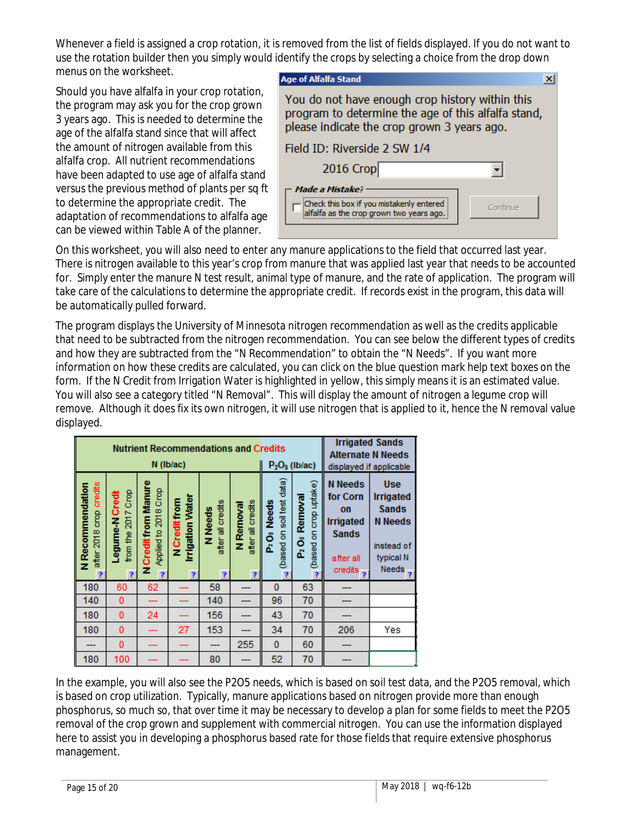Whenever a field is assigned a crop rotation, it is removed from the list of fields displayed. If you do not want to use the rotation builder then you simply would identify the crops by selecting a choice from the drop down menus on the worksheet.

Should you have alfalfa in your crop rotation, the program may ask you for the crop grown 3 years ago. This is needed to determine the age of the alfalfa stand since that will affect the amount of nitrogen available from this alfalfa crop. All nutrient recommendations have been adapted to use age of alfalfa stand versus the previous method of plants per sq ft to determine the appropriate credit. The adaptation of recommendations to alfalfa age can be viewed within Table A of the planner.

| <b>Age of Alfalfa Stand</b>                                                                                                                           |          |  |  |  |  |
|-------------------------------------------------------------------------------------------------------------------------------------------------------|----------|--|--|--|--|
| You do not have enough crop history within this<br>program to determine the age of this alfalfa stand,<br>please indicate the crop grown 3 years ago. |          |  |  |  |  |
| Field ID: Riverside 2 SW 1/4                                                                                                                          |          |  |  |  |  |
| 2016 Crop                                                                                                                                             |          |  |  |  |  |
| Made a Mistake?<br>Check this box if you mistakenly entered<br>alfalfa as the crop grown two years ago.                                               | Continue |  |  |  |  |

On this worksheet, you will also need to enter any manure applications to the field that occurred last year. There is nitrogen available to this year's crop from manure that was applied last year that needs to be accounted for. Simply enter the manure N test result, animal type of manure, and the rate of application. The program will take care of the calculations to determine the appropriate credit. If records exist in the program, this data will be automatically pulled forward.

The program displays the University of Minnesota nitrogen recommendation as well as the credits applicable that need to be subtracted from the nitrogen recommendation. You can see below the different types of credits and how they are subtracted from the "N Recommendation" to obtain the "N Needs". If you want more information on how these credits are calculated, you can click on the blue question mark help text boxes on the form. If the N Credit from Irrigation Water is highlighted in yellow, this simply means it is an estimated value. You will also see a category titled "N Removal". This will display the amount of nitrogen a legume crop will remove. Although it does fix its own nitrogen, it will use nitrogen that is applied to it, hence the N removal value displayed.

| <b>Nutrient Recommendations and Credits</b><br>$N$ ( $Ib/ac$ ) |                                                       |                                                            |                                            |                                       |                                          | $P2O5$ (lb/ac)                                             |                                                      | <b>Irrigated Sands</b><br><b>Alternate N Needs</b>                                             | displayed if applicable                                                                                     |
|----------------------------------------------------------------|-------------------------------------------------------|------------------------------------------------------------|--------------------------------------------|---------------------------------------|------------------------------------------|------------------------------------------------------------|------------------------------------------------------|------------------------------------------------------------------------------------------------|-------------------------------------------------------------------------------------------------------------|
| credits<br>N Recommendation<br>go<br><b>2018</b><br>after<br>P | <b>Crop</b><br>egume-N Credi<br>2017<br>from the<br>Ŧ | <b>Manure</b><br>Applied to 2018 Crop<br>NCredit from<br>P | <b>Irigation Water</b><br>NCredit rom<br>P | all credits<br>N Needs<br>after:<br>P | credits<br>N Removal<br>늚<br>after:<br>P | data)<br>soil test<br>Needs<br>5<br>Ŏ<br>ů<br>(based)<br>P | crop uptake)<br>Removal<br>(based on<br>ő<br>ő.<br>P | <b>N</b> Needs<br>for Corn<br>on<br><b>Irrigated</b><br><b>Sands</b><br>after all<br>credits ? | <b>Use</b><br><b>Irrigated</b><br><b>Sands</b><br><b>N</b> Needs<br>instead of<br>typical N<br><b>Needs</b> |
| 180                                                            | 60                                                    | 62                                                         |                                            | 58                                    |                                          | $\bf{0}$                                                   | 63                                                   |                                                                                                |                                                                                                             |
| 140                                                            | $\bf{0}$                                              |                                                            |                                            | 140                                   |                                          | 96                                                         | 70                                                   |                                                                                                |                                                                                                             |
| 180                                                            | 0                                                     | 24                                                         |                                            | 156                                   |                                          | 43                                                         | 70                                                   |                                                                                                |                                                                                                             |
| 180                                                            | $\mathbf 0$                                           |                                                            | 27                                         | 153                                   |                                          | 34                                                         | 70                                                   | 206                                                                                            | Yes                                                                                                         |
|                                                                | 0                                                     |                                                            |                                            |                                       | 255                                      | $\bf{0}$                                                   | 60                                                   |                                                                                                |                                                                                                             |
| 180                                                            | 100                                                   |                                                            |                                            | 80                                    |                                          | 52                                                         | 70                                                   |                                                                                                |                                                                                                             |

In the example, you will also see the P2O5 needs, which is based on soil test data, and the P2O5 removal, which is based on crop utilization. Typically, manure applications based on nitrogen provide more than enough phosphorus, so much so, that over time it may be necessary to develop a plan for some fields to meet the P2O5 removal of the crop grown and supplement with commercial nitrogen. You can use the information displayed here to assist you in developing a phosphorus based rate for those fields that require extensive phosphorus management.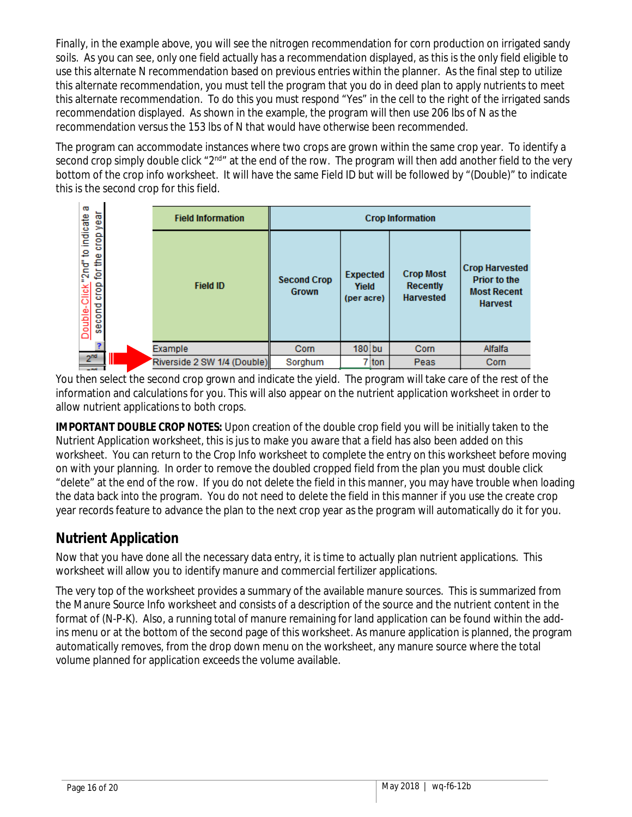Finally, in the example above, you will see the nitrogen recommendation for corn production on irrigated sandy soils. As you can see, only one field actually has a recommendation displayed, as this is the only field eligible to use this alternate N recommendation based on previous entries within the planner. As the final step to utilize this alternate recommendation, you must tell the program that you do in deed plan to apply nutrients to meet this alternate recommendation. To do this you must respond "Yes" in the cell to the right of the irrigated sands recommendation displayed. As shown in the example, the program will then use 206 lbs of N as the recommendation versus the 153 lbs of N that would have otherwise been recommended.

The program can accommodate instances where two crops are grown within the same crop year. To identify a second crop simply double click "2<sup>nd</sup>" at the end of the row. The program will then add another field to the very bottom of the crop info worksheet. It will have the same Field ID but will be followed by "(Double)" to indicate this is the second crop for this field.

| ā<br>crop year                                             | <b>Field Information</b>    | <b>Crop Information</b>     |                                        |                                                         |                                                                               |  |  |
|------------------------------------------------------------|-----------------------------|-----------------------------|----------------------------------------|---------------------------------------------------------|-------------------------------------------------------------------------------|--|--|
| Double-Click"2nd" to indicate<br>for the<br>crop<br>second | <b>Field ID</b>             | <b>Second Crop</b><br>Grown | <b>Expected</b><br>Yield<br>(per acre) | <b>Crop Most</b><br><b>Recently</b><br><b>Harvested</b> | <b>Crop Harvested</b><br><b>Prior to the</b><br><b>Most Recent</b><br>Harvest |  |  |
|                                                            | Example                     | Corn                        | $180$ bu                               | Corn                                                    | Alfalfa                                                                       |  |  |
| 2 <sup>nd</sup><br>Ш<br><b>Contract</b>                    | Riverside 2 SW 1/4 (Double) | Sorghum                     | $7$ ton                                | Peas                                                    | Corn                                                                          |  |  |

You then select the second crop grown and indicate the yield. The program will take care of the rest of the information and calculations for you. This will also appear on the nutrient application worksheet in order to allow nutrient applications to both crops.

**IMPORTANT DOUBLE CROP NOTES:** Upon creation of the double crop field you will be initially taken to the Nutrient Application worksheet, this is jus to make you aware that a field has also been added on this worksheet. You can return to the Crop Info worksheet to complete the entry on this worksheet before moving on with your planning. In order to remove the doubled cropped field from the plan you must double click "delete" at the end of the row. If you do not delete the field in this manner, you may have trouble when loading the data back into the program. You do not need to delete the field in this manner if you use the create crop year records feature to advance the plan to the next crop year as the program will automatically do it for you.

# <span id="page-15-0"></span>**Nutrient Application**

Now that you have done all the necessary data entry, it is time to actually plan nutrient applications. This worksheet will allow you to identify manure and commercial fertilizer applications.

The very top of the worksheet provides a summary of the available manure sources. This is summarized from the Manure Source Info worksheet and consists of a description of the source and the nutrient content in the format of (N-P-K). Also, a running total of manure remaining for land application can be found within the addins menu or at the bottom of the second page of this worksheet. As manure application is planned, the program automatically removes, from the drop down menu on the worksheet, any manure source where the total volume planned for application exceeds the volume available.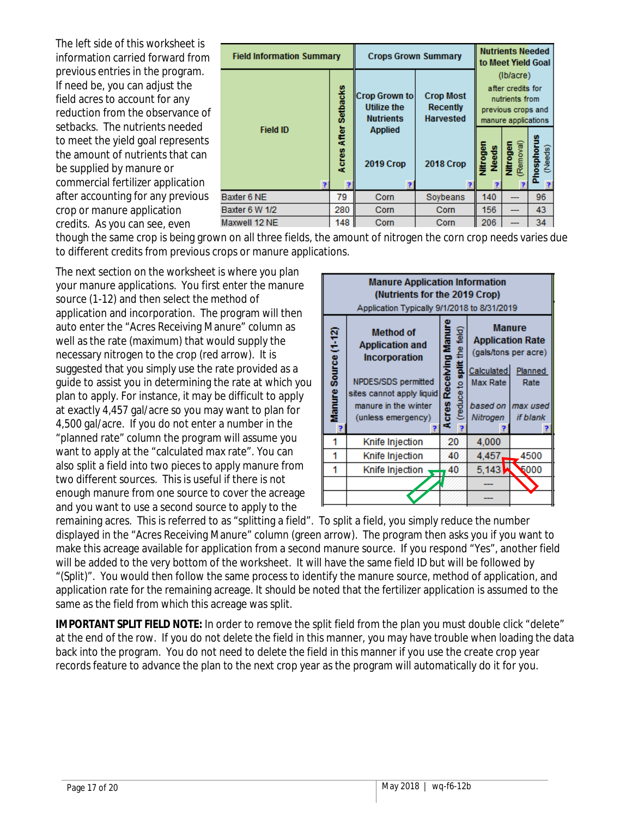The left side of this worksheet is information carried forward from previous entries in the program. If need be, you can adjust the field acres to account for any reduction from the observance of setbacks. The nutrients needed to meet the yield goal represents the amount of nutrients that can be supplied by manure or commercial fertilizer application after accounting for any previous crop or manure application credits. As you can see, even

| <b>Field Information Summary</b> | <b>Crops Grown Summary</b> | <b>Nutrients Needed</b><br>to Meet Yield Goal            |                                                         |                                                             |                                |                       |  |
|----------------------------------|----------------------------|----------------------------------------------------------|---------------------------------------------------------|-------------------------------------------------------------|--------------------------------|-----------------------|--|
|                                  |                            |                                                          |                                                         |                                                             | (Ib/acre)<br>after credits for |                       |  |
|                                  | Setbacks                   | Crop Grown to <br><b>Utilize the</b><br><b>Nutrients</b> | <b>Crop Most</b><br><b>Recently</b><br><b>Harvested</b> | nutrients from<br>previous crops and<br>manure applications |                                |                       |  |
| <b>Field ID</b>                  | <b>Acres After</b>         | <b>Applied</b><br><b>2019 Crop</b>                       | <b>2018 Crop</b>                                        | Nitrogen                                                    | Needs<br>Nitrogen<br>(Removal) | Phosphorus<br>(Needs) |  |
| Baxter 6 NE                      | 79                         | Corn                                                     | Soybeans                                                | 140                                                         |                                | 96                    |  |
| Baxter 6 W 1/2                   | 280                        | Corn                                                     | Corn                                                    | 156                                                         |                                | 43                    |  |
| 148<br>Maxwell 12 NE             |                            | Corn                                                     | Corn                                                    | 206                                                         |                                | 34                    |  |

though the same crop is being grown on all three fields, the amount of nitrogen the corn crop needs varies due to different credits from previous crops or manure applications.

The next section on the worksheet is where you plan your manure applications. You first enter the manure source (1-12) and then select the method of application and incorporation. The program will then auto enter the "Acres Receiving Manure" column as well as the rate (maximum) that would supply the necessary nitrogen to the crop (red arrow). It is suggested that you simply use the rate provided as a guide to assist you in determining the rate at which you plan to apply. For instance, it may be difficult to apply at exactly 4,457 gal/acre so you may want to plan for 4,500 gal/acre. If you do not enter a number in the "planned rate" column the program will assume you want to apply at the "calculated max rate". You can also split a field into two pieces to apply manure from two different sources. This is useful if there is not enough manure from one source to cover the acreage and you want to use a second source to apply to the

| <b>Manure Application Information</b><br>(Nutrients for the 2019 Crop)<br>Application Typically 9/1/2018 to 8/31/2019 |                                                                    |                                  |                                                                  |                    |  |  |  |
|-----------------------------------------------------------------------------------------------------------------------|--------------------------------------------------------------------|----------------------------------|------------------------------------------------------------------|--------------------|--|--|--|
| Manure Source (1-12)                                                                                                  | <b>Method of</b><br><b>Application and</b><br><b>Incorporation</b> | (reduce to split the field)<br>Ē | <b>Manure</b><br><b>Application Rate</b><br>(gals/tons per acre) |                    |  |  |  |
|                                                                                                                       | NPDES/SDS permitted<br>sites cannot apply liquid                   | <b>Acres Receiving</b>           | Calculated<br>Max Rate                                           | Planned<br>Rate    |  |  |  |
|                                                                                                                       | manure in the winter                                               |                                  |                                                                  | based on Imax used |  |  |  |
|                                                                                                                       | (unless emergency)                                                 |                                  | Nitrogen                                                         | if blank           |  |  |  |
|                                                                                                                       | Knife Injection                                                    | 20                               | 4,000                                                            |                    |  |  |  |
| 1                                                                                                                     | Knife Injection                                                    | 40                               | 4.457                                                            | 4500               |  |  |  |
| 1                                                                                                                     | Knife Injection                                                    | 40                               | 5,143                                                            | 5000               |  |  |  |
|                                                                                                                       |                                                                    |                                  |                                                                  |                    |  |  |  |
|                                                                                                                       |                                                                    |                                  |                                                                  |                    |  |  |  |

remaining acres. This is referred to as "splitting a field". To split a field, you simply reduce the number displayed in the "Acres Receiving Manure" column (green arrow). The program then asks you if you want to make this acreage available for application from a second manure source. If you respond "Yes", another field will be added to the very bottom of the worksheet. It will have the same field ID but will be followed by "(Split)". You would then follow the same process to identify the manure source, method of application, and application rate for the remaining acreage. It should be noted that the fertilizer application is assumed to the same as the field from which this acreage was split.

**IMPORTANT SPLIT FIELD NOTE:** In order to remove the split field from the plan you must double click "delete" at the end of the row. If you do not delete the field in this manner, you may have trouble when loading the data back into the program. You do not need to delete the field in this manner if you use the create crop year records feature to advance the plan to the next crop year as the program will automatically do it for you.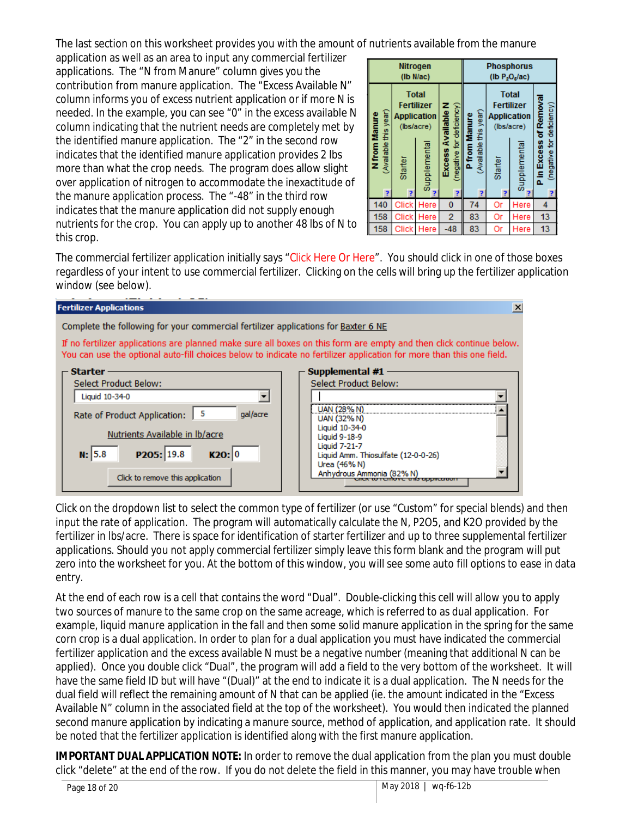The last section on this worksheet provides you with the amount of nutrients available from the manure

application as well as an area to input any commercial fertilizer applications. The "N from Manure" column gives you the contribution from manure application. The "Excess Available N" column informs you of excess nutrient application or if more N is needed. In the example, you can see "0" in the excess available N column indicating that the nutrient needs are completely met by the identified manure application. The "2" in the second row indicates that the identified manure application provides 2 lbs more than what the crop needs. The program does allow slight over application of nitrogen to accommodate the inexactitude of the manure application process. The "-48" in the third row indicates that the manure application did not supply enough nutrients for the crop. You can apply up to another 48 lbs of N to this crop.

| Nitrogen<br>(Ib N/ac)                                                                                                                                |              |                                                      |                                        | <b>Phosphorus</b><br>(lb $P_2O_6/ac$ )                                                                     |    |                                                     |    |
|------------------------------------------------------------------------------------------------------------------------------------------------------|--------------|------------------------------------------------------|----------------------------------------|------------------------------------------------------------------------------------------------------------|----|-----------------------------------------------------|----|
| <b>Total</b><br><b>Fertilizer</b><br>(Available this year)<br>N from Manure<br><b>Application</b><br>(lbs/acre)<br>Supplemental<br>Starter<br>P<br>P |              | (negative for deficiency)<br>Excess Available N<br>þ | (Available this year)<br>P from Manure | <b>Total</b><br><b>Fertilizer</b><br><b>Application</b><br>(lbs/acre)<br>Supplemental<br>Starter<br>þ<br>2 |    | P in Excess of Removal<br>(negative for deficiency) |    |
| 140                                                                                                                                                  | Click        | Here                                                 | 0                                      | 74                                                                                                         | Or | Here                                                | 4  |
| 158                                                                                                                                                  | <b>Click</b> | Here                                                 | 2                                      | 83                                                                                                         | Or | Here                                                | 13 |
| 158                                                                                                                                                  | <b>Click</b> | Here                                                 | $-48$                                  | 83                                                                                                         | Or | Here                                                | 13 |

The commercial fertilizer application initially says "Click Here Or Here". You should click in one of those boxes regardless of your intent to use commercial fertilizer. Clicking on the cells will bring up the fertilizer application window (see below).



Click on the dropdown list to select the common type of fertilizer (or use "Custom" for special blends) and then input the rate of application. The program will automatically calculate the N, P2O5, and K2O provided by the fertilizer in lbs/acre. There is space for identification of starter fertilizer and up to three supplemental fertilizer applications. Should you not apply commercial fertilizer simply leave this form blank and the program will put zero into the worksheet for you. At the bottom of this window, you will see some auto fill options to ease in data entry.

At the end of each row is a cell that contains the word "Dual". Double-clicking this cell will allow you to apply two sources of manure to the same crop on the same acreage, which is referred to as dual application. For example, liquid manure application in the fall and then some solid manure application in the spring for the same corn crop is a dual application. In order to plan for a dual application you must have indicated the commercial fertilizer application and the excess available N must be a negative number (meaning that additional N can be applied). Once you double click "Dual", the program will add a field to the very bottom of the worksheet. It will have the same field ID but will have "(Dual)" at the end to indicate it is a dual application. The N needs for the dual field will reflect the remaining amount of N that can be applied (ie. the amount indicated in the "Excess Available N" column in the associated field at the top of the worksheet). You would then indicated the planned second manure application by indicating a manure source, method of application, and application rate. It should be noted that the fertilizer application is identified along with the first manure application.

**IMPORTANT DUAL APPLICATION NOTE:** In order to remove the dual application from the plan you must double click "delete" at the end of the row. If you do not delete the field in this manner, you may have trouble when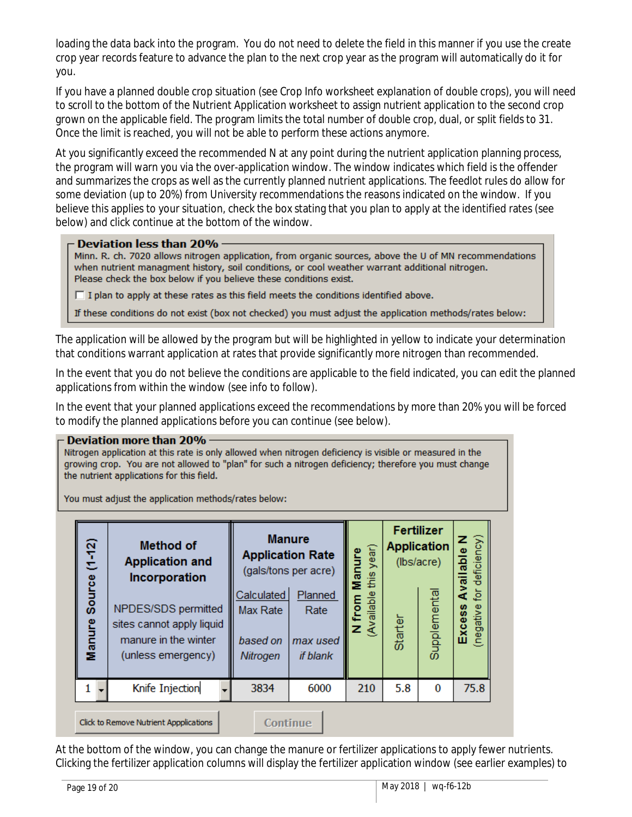loading the data back into the program. You do not need to delete the field in this manner if you use the create crop year records feature to advance the plan to the next crop year as the program will automatically do it for you.

If you have a planned double crop situation (see Crop Info worksheet explanation of double crops), you will need to scroll to the bottom of the Nutrient Application worksheet to assign nutrient application to the second crop grown on the applicable field. The program limits the total number of double crop, dual, or split fields to 31. Once the limit is reached, you will not be able to perform these actions anymore.

At you significantly exceed the recommended N at any point during the nutrient application planning process, the program will warn you via the over-application window. The window indicates which field is the offender and summarizes the crops as well as the currently planned nutrient applications. The feedlot rules do allow for some deviation (up to 20%) from University recommendations the reasons indicated on the window. If you believe this applies to your situation, check the box stating that you plan to apply at the identified rates (see below) and click continue at the bottom of the window.

#### Deviation less than 20% -

Minn. R. ch. 7020 allows nitrogen application, from organic sources, above the U of MN recommendations when nutrient managment history, soil conditions, or cool weather warrant additional nitrogen. Please check the box below if you believe these conditions exist.

 $\Box$  I plan to apply at these rates as this field meets the conditions identified above.

If these conditions do not exist (box not checked) you must adjust the application methods/rates below:

The application will be allowed by the program but will be highlighted in yellow to indicate your determination that conditions warrant application at rates that provide significantly more nitrogen than recommended.

In the event that you do not believe the conditions are applicable to the field indicated, you can edit the planned applications from within the window (see info to follow).

In the event that your planned applications exceed the recommendations by more than 20% you will be forced to modify the planned applications before you can continue (see below).

#### **Deviation more than 20%**

Nitrogen application at this rate is only allowed when nitrogen deficiency is visible or measured in the growing crop. You are not allowed to "plan" for such a nitrogen deficiency; therefore you must change the nutrient applications for this field.

You must adjust the application methods/rates below:

| $(1 - 12)$                                         | <b>Method of</b><br><b>Application and</b><br>Incorporation                                    |                                                | <b>Manure</b><br><b>Application Rate</b><br>(gals/tons per acre) |                        | year)<br>Manure<br>this | Fertilizer<br><b>Application</b><br>(lbs/acre) |          | Available N<br>for deficiency)<br>ق<br><b>Excess</b><br>(negative |
|----------------------------------------------------|------------------------------------------------------------------------------------------------|------------------------------------------------|------------------------------------------------------------------|------------------------|-------------------------|------------------------------------------------|----------|-------------------------------------------------------------------|
| Source<br>Manure                                   | NPDES/SDS permitted<br>sites cannot apply liquid<br>manure in the winter<br>(unless emergency) | Calculated<br>Max Rate<br>based on<br>Nitrogen | Planned<br>Rate<br>max used<br>if blank                          | Available<br>from<br>z | Starter                 | Supplementa                                    |          |                                                                   |
|                                                    | Knife Injection                                                                                |                                                | 3834                                                             | 6000                   | 210                     | 5.8                                            | $\bf{0}$ | 75.8                                                              |
| Continue<br>Click to Remove Nutrient Appplications |                                                                                                |                                                |                                                                  |                        |                         |                                                |          |                                                                   |

At the bottom of the window, you can change the manure or fertilizer applications to apply fewer nutrients. Clicking the fertilizer application columns will display the fertilizer application window (see earlier examples) to